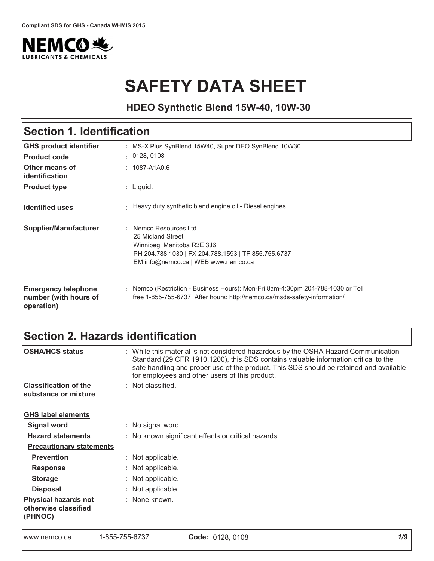

# **SAFETY DATA SHEET**

**HDEO Synthetic Blend 15W-40, 10W-30**

#### : Liquid. GHS product identifier **Other means of 
Product type** Section 1. Identification MS-X Plus SynBlend 15W40, Super DEO SynBlend 10W30 1087-A1A0.6 **Product code**  $\qquad$ **: Identified uses Emergency telephone** number (with hours of Nemco (Restriction - Business Hours): Mon-Fri 8am-4:30pm 204-788-1030 or Toll Heavy duty synthetic blend engine oil - Diesel engines. **Supplier/Manufacturer :** 0128, 0108 Nemco Resources Ltd 25 Midland Street Winnipeg, Manitoba R3E 3J6 PH 204.788.1030 | FX 204.788.1593 | TF 855.755.6737 EM info@nemco.ca | WEB www.nemco.ca free 1-855-755-6737. After hours: http://nemco.ca/msds-safety-information/

operation)

# Section 2. Hazards identification

| <b>OSHA/HCS status</b>                                         | : While this material is not considered hazardous by the OSHA Hazard Communication<br>Standard (29 CFR 1910.1200), this SDS contains valuable information critical to the<br>safe handling and proper use of the product. This SDS should be retained and available<br>for employees and other users of this product. |
|----------------------------------------------------------------|-----------------------------------------------------------------------------------------------------------------------------------------------------------------------------------------------------------------------------------------------------------------------------------------------------------------------|
| <b>Classification of the</b><br>substance or mixture           | : Not classified.                                                                                                                                                                                                                                                                                                     |
| <b>GHS label elements</b>                                      |                                                                                                                                                                                                                                                                                                                       |
| <b>Signal word</b>                                             | : No signal word.                                                                                                                                                                                                                                                                                                     |
| <b>Hazard statements</b>                                       | : No known significant effects or critical hazards.                                                                                                                                                                                                                                                                   |
| <b>Precautionary statements</b>                                |                                                                                                                                                                                                                                                                                                                       |
| <b>Prevention</b>                                              | : Not applicable.                                                                                                                                                                                                                                                                                                     |
| <b>Response</b>                                                | : Not applicable.                                                                                                                                                                                                                                                                                                     |
| <b>Storage</b>                                                 | : Not applicable.                                                                                                                                                                                                                                                                                                     |
| <b>Disposal</b>                                                | : Not applicable.                                                                                                                                                                                                                                                                                                     |
| <b>Physical hazards not</b><br>otherwise classified<br>(PHNOC) | : None known.                                                                                                                                                                                                                                                                                                         |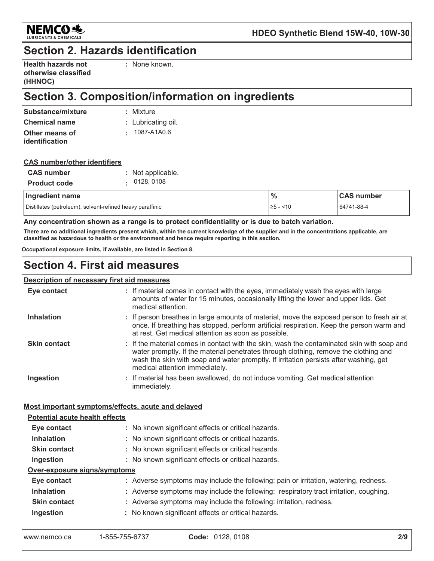

### **Section 2. Hazards identification**

| <b>Health hazards not</b> |  |
|---------------------------|--|
| otherwise classified      |  |
| (HHNOC)                   |  |

: None known.

# Section 3. Composition/information on ingredients

| Substance/mixture    | : Mixture          |
|----------------------|--------------------|
| <b>Chemical name</b> | : Lubricating oil. |
| Other means of       | $: 1087 - A1A0.6$  |
| identification       |                    |

#### **CAS number/other identifiers**

| <b>CAS number</b>   | : Not applicable. |
|---------------------|-------------------|
| <b>Product code</b> | . 0128,0108       |

| Ingredient name                                           | $\frac{0}{6}$ | <b>CAS number</b> |
|-----------------------------------------------------------|---------------|-------------------|
| Distillates (petroleum), solvent-refined heavy paraffinic | ≥5<br>$-10$   | 64741-88-4        |

#### Any concentration shown as a range is to protect confidentiality or is due to batch variation.

There are no additional ingredients present which, within the current knowledge of the supplier and in the concentrations applicable, are classified as hazardous to health or the environment and hence require reporting in this section.

Occupational exposure limits, if available, are listed in Section 8.

### **Section 4. First aid measures**

### **Description of necessary first aid measures**

| Eye contact                           | : If material comes in contact with the eyes, immediately wash the eyes with large<br>amounts of water for 15 minutes, occasionally lifting the lower and upper lids. Get<br>medical attention.                                                                                                               |
|---------------------------------------|---------------------------------------------------------------------------------------------------------------------------------------------------------------------------------------------------------------------------------------------------------------------------------------------------------------|
| <b>Inhalation</b>                     | : If person breathes in large amounts of material, move the exposed person to fresh air at<br>once. If breathing has stopped, perform artificial respiration. Keep the person warm and<br>at rest. Get medical attention as soon as possible.                                                                 |
| <b>Skin contact</b>                   | : If the material comes in contact with the skin, wash the contaminated skin with soap and<br>water promptly. If the material penetrates through clothing, remove the clothing and<br>wash the skin with soap and water promptly. If irritation persists after washing, get<br>medical attention immediately. |
| Ingestion                             | : If material has been swallowed, do not induce vomiting. Get medical attention<br>immediately.                                                                                                                                                                                                               |
|                                       | Most important symptoms/effects, acute and delayed                                                                                                                                                                                                                                                            |
| <b>Potential acute health effects</b> |                                                                                                                                                                                                                                                                                                               |
| Eye contact                           | : No known significant effects or critical hazards.                                                                                                                                                                                                                                                           |
| <b>Inhalation</b>                     | : No known significant effects or critical hazards.                                                                                                                                                                                                                                                           |
| <b>Skin contact</b>                   | : No known significant effects or critical hazards.                                                                                                                                                                                                                                                           |
| Ingestion                             | : No known significant effects or critical hazards.                                                                                                                                                                                                                                                           |
| Over-exposure signs/symptoms          |                                                                                                                                                                                                                                                                                                               |
| Eye contact                           | : Adverse symptoms may include the following: pain or irritation, watering, redness.                                                                                                                                                                                                                          |
| <b>Inhalation</b>                     | : Adverse symptoms may include the following: respiratory tract irritation, coughing.                                                                                                                                                                                                                         |
| <b>Skin contact</b>                   | : Adverse symptoms may include the following: irritation, redness.                                                                                                                                                                                                                                            |
| Innaetian                             | . No known significant effects or critical hazards                                                                                                                                                                                                                                                            |

**Ingestion**  $\colon$  No known significant effects or critical nazards.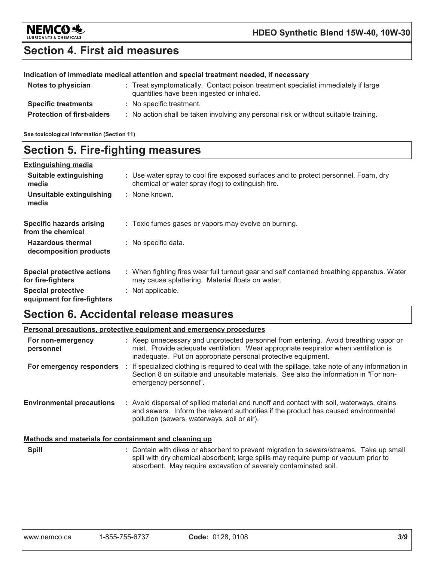

# **Section 4. First aid measures**

### Indication of immediate medical attention and special treatment needed, if necessary

| Notes to physician                | : Treat symptomatically. Contact poison treatment specialist immediately if large<br>quantities have been ingested or inhaled. |
|-----------------------------------|--------------------------------------------------------------------------------------------------------------------------------|
| <b>Specific treatments</b>        | : No specific treatment.                                                                                                       |
| <b>Protection of first-aiders</b> | : No action shall be taken involving any personal risk or without suitable training.                                           |

See toxicological information (Section 11)

## **Section 5. Fire-fighting measures**

| <b>Extinguishing media</b>                               |                                                                                                                                                |
|----------------------------------------------------------|------------------------------------------------------------------------------------------------------------------------------------------------|
| Suitable extinguishing<br>media                          | : Use water spray to cool fire exposed surfaces and to protect personnel. Foam, dry<br>chemical or water spray (fog) to extinguish fire.       |
| Unsuitable extinguishing<br>media                        | : None known.                                                                                                                                  |
| <b>Specific hazards arising</b><br>from the chemical     | : Toxic fumes gases or vapors may evolve on burning.                                                                                           |
| <b>Hazardous thermal</b><br>decomposition products       | : No specific data.                                                                                                                            |
| <b>Special protective actions</b><br>for fire-fighters   | : When fighting fires wear full turnout gear and self contained breathing apparatus. Water<br>may cause splattering. Material floats on water. |
| <b>Special protective</b><br>equipment for fire-fighters | : Not applicable.                                                                                                                              |

# **Section 6. Accidental release measures**

|                                                       | Personal precautions, protective equipment and emergency procedures                                                                                                                                                                                |
|-------------------------------------------------------|----------------------------------------------------------------------------------------------------------------------------------------------------------------------------------------------------------------------------------------------------|
| For non-emergency<br>personnel                        | : Keep unnecessary and unprotected personnel from entering. Avoid breathing vapor or<br>mist. Provide adequate ventilation. Wear appropriate respirator when ventilation is<br>inadequate. Put on appropriate personal protective equipment.       |
|                                                       | For emergency responders : If specialized clothing is required to deal with the spillage, take note of any information in<br>Section 8 on suitable and unsuitable materials. See also the information in "For non-<br>emergency personnel".        |
| <b>Environmental precautions</b>                      | : Avoid dispersal of spilled material and runoff and contact with soil, waterways, drains<br>and sewers. Inform the relevant authorities if the product has caused environmental<br>pollution (sewers, waterways, soil or air).                    |
| Methods and materials for containment and cleaning up |                                                                                                                                                                                                                                                    |
| <b>Spill</b>                                          | : Contain with dikes or absorbent to prevent migration to sewers/streams. Take up small<br>spill with dry chemical absorbent; large spills may require pump or vacuum prior to<br>absorbent. May require excavation of severely contaminated soil. |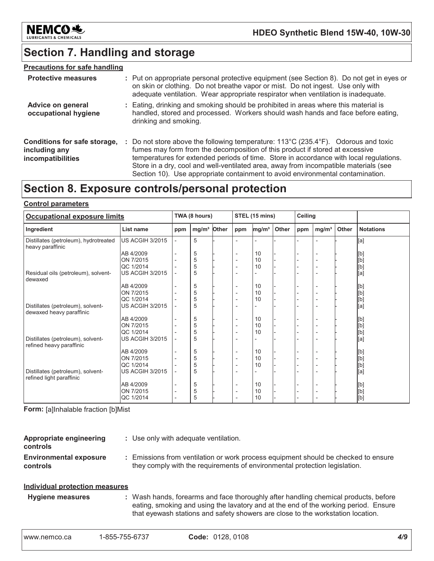

# **Section 7. Handling and storage**

### **Precautions for safe handling**

| <b>Protective measures</b>                                         | : Put on appropriate personal protective equipment (see Section 8). Do not get in eyes or<br>on skin or clothing. Do not breathe vapor or mist. Do not ingest. Use only with<br>adequate ventilation. Wear appropriate respirator when ventilation is inadequate.                                                                                                                                                                                      |
|--------------------------------------------------------------------|--------------------------------------------------------------------------------------------------------------------------------------------------------------------------------------------------------------------------------------------------------------------------------------------------------------------------------------------------------------------------------------------------------------------------------------------------------|
| Advice on general<br>occupational hygiene                          | : Eating, drinking and smoking should be prohibited in areas where this material is<br>handled, stored and processed. Workers should wash hands and face before eating,<br>drinking and smoking.                                                                                                                                                                                                                                                       |
| Conditions for safe storage,<br>including any<br>incompatibilities | : Do not store above the following temperature: $113^{\circ}C(235.4^{\circ}F)$ . Odorous and toxic<br>fumes may form from the decomposition of this product if stored at excessive<br>temperatures for extended periods of time. Store in accordance with local regulations.<br>Store in a dry, cool and well-ventilated area, away from incompatible materials (see<br>Section 10). Use appropriate containment to avoid environmental contamination. |

# Section 8. Exposure controls/personal protection

#### **Control parameters**

| <b>Occupational exposure limits</b>                           |                        |                          | TWA (8 hours)     |       |                          | STEL (15 mins)    |       |     | Ceiling                  |       |                                                                                                                                                                                                                                                                                                                                                                                                                                                                                                                                                                                                                                                                                     |
|---------------------------------------------------------------|------------------------|--------------------------|-------------------|-------|--------------------------|-------------------|-------|-----|--------------------------|-------|-------------------------------------------------------------------------------------------------------------------------------------------------------------------------------------------------------------------------------------------------------------------------------------------------------------------------------------------------------------------------------------------------------------------------------------------------------------------------------------------------------------------------------------------------------------------------------------------------------------------------------------------------------------------------------------|
| Ingredient                                                    | List name              | ppm                      | mg/m <sup>3</sup> | Other | ppm                      | mg/m <sup>3</sup> | Other | ppm | mg/m <sup>3</sup>        | Other | <b>Notations</b>                                                                                                                                                                                                                                                                                                                                                                                                                                                                                                                                                                                                                                                                    |
| Distillates (petroleum), hydrotreated<br>heavy paraffinic     | <b>US ACGIH 3/2015</b> | $\overline{\phantom{a}}$ | 5                 |       |                          |                   |       |     |                          |       | [a]                                                                                                                                                                                                                                                                                                                                                                                                                                                                                                                                                                                                                                                                                 |
|                                                               | AB 4/2009              |                          | 5                 |       |                          | 10                |       |     | $\overline{a}$           |       | [b]                                                                                                                                                                                                                                                                                                                                                                                                                                                                                                                                                                                                                                                                                 |
|                                                               | ON 7/2015              |                          | 5                 |       | $\overline{\phantom{0}}$ | 10                |       |     | $\overline{a}$           |       | $[b] % \begin{center} % \includegraphics[width=\linewidth]{imagesSupplemental_3.png} % \end{center} % \caption { % Our method can be used for the use of the image. % Note that the \emph{Def}(i) and the \emph{Def}(i) are the same as a function of the image. % Note that the \emph{Def}(i) and the \emph{Def}(i) are the same as a function of the image. % Note that the \emph{Def}(i) and the \emph{Def}(i) are the same as a function of the image. % Note that the \emph{Def}(i) and the \emph{Def}(i) are the same as a function of the image. % Note that the \emph{Def}(i) and the \emph{Def}(i) are the same as a function of the image. % Note that the \emph{Def}(i)$ |
|                                                               | QC 1/2014              |                          | 5                 |       |                          | 10                |       |     | $\overline{a}$           |       | [b]                                                                                                                                                                                                                                                                                                                                                                                                                                                                                                                                                                                                                                                                                 |
| Residual oils (petroleum), solvent-<br>dewaxed                | <b>US ACGIH 3/2015</b> |                          | 5                 |       | $\overline{\phantom{0}}$ |                   |       |     | $\overline{a}$           |       | [a]                                                                                                                                                                                                                                                                                                                                                                                                                                                                                                                                                                                                                                                                                 |
|                                                               | AB 4/2009              |                          | 5                 |       | $\overline{\phantom{a}}$ | 10                |       |     | $\overline{a}$           |       | [b]                                                                                                                                                                                                                                                                                                                                                                                                                                                                                                                                                                                                                                                                                 |
|                                                               | ON 7/2015              |                          | 5                 |       |                          | 10                |       |     | $\overline{\phantom{a}}$ |       |                                                                                                                                                                                                                                                                                                                                                                                                                                                                                                                                                                                                                                                                                     |
|                                                               | QC 1/2014              |                          | 5                 |       |                          | 10                |       |     |                          |       |                                                                                                                                                                                                                                                                                                                                                                                                                                                                                                                                                                                                                                                                                     |
| Distillates (petroleum), solvent-<br>dewaxed heavy paraffinic | <b>US ACGIH 3/2015</b> |                          | 5                 |       |                          |                   |       |     |                          |       | [b]<br>[b]<br>[a]                                                                                                                                                                                                                                                                                                                                                                                                                                                                                                                                                                                                                                                                   |
|                                                               | AB 4/2009              |                          | 5                 |       | $\overline{\phantom{a}}$ | 10                |       |     | $\overline{a}$           |       | [b]                                                                                                                                                                                                                                                                                                                                                                                                                                                                                                                                                                                                                                                                                 |
|                                                               | ON 7/2015              |                          | 5                 |       | $\overline{\phantom{0}}$ | 10                |       |     | $\overline{\phantom{0}}$ |       | [b]                                                                                                                                                                                                                                                                                                                                                                                                                                                                                                                                                                                                                                                                                 |
|                                                               | QC 1/2014              |                          | 5                 |       | $\overline{\phantom{0}}$ | 10                |       |     | $\overline{\phantom{a}}$ |       | [b]                                                                                                                                                                                                                                                                                                                                                                                                                                                                                                                                                                                                                                                                                 |
| Distillates (petroleum), solvent-<br>refined heavy paraffinic | <b>US ACGIH 3/2015</b> |                          | 5                 |       |                          |                   |       |     |                          |       | [a]                                                                                                                                                                                                                                                                                                                                                                                                                                                                                                                                                                                                                                                                                 |
|                                                               | AB 4/2009              |                          | 5                 |       |                          | 10                |       |     | $\overline{a}$           |       | [b]                                                                                                                                                                                                                                                                                                                                                                                                                                                                                                                                                                                                                                                                                 |
|                                                               | ON 7/2015              |                          | 5                 |       | $\overline{\phantom{0}}$ | 10                |       |     | $\overline{\phantom{a}}$ |       | [b]<br>[b]<br>[a]                                                                                                                                                                                                                                                                                                                                                                                                                                                                                                                                                                                                                                                                   |
|                                                               | QC 1/2014              |                          | 5                 |       |                          | 10                |       |     | $\overline{\phantom{a}}$ |       |                                                                                                                                                                                                                                                                                                                                                                                                                                                                                                                                                                                                                                                                                     |
| Distillates (petroleum), solvent-<br>refined light paraffinic | <b>US ACGIH 3/2015</b> |                          | 5                 |       |                          |                   |       |     |                          |       |                                                                                                                                                                                                                                                                                                                                                                                                                                                                                                                                                                                                                                                                                     |
|                                                               | AB 4/2009              |                          | 5                 |       | $\overline{\phantom{0}}$ | 10                |       |     | $\overline{\phantom{0}}$ |       | [b]                                                                                                                                                                                                                                                                                                                                                                                                                                                                                                                                                                                                                                                                                 |
|                                                               | ON 7/2015              | $\overline{\phantom{a}}$ | 5                 |       | $\overline{\phantom{a}}$ | 10                |       |     | $\overline{\phantom{a}}$ |       | $[b] % \begin{center} % \includegraphics[width=\linewidth]{imagesSupplemental_3.png} % \end{center} % \caption { % Our method can be used for the use of the image. % Note that the \emph{Def}(i) and the \emph{Def}(i) are the same as a function of the image. % Note that the \emph{Def}(i) and the \emph{Def}(i) are the same as a function of the image. % Note that the \emph{Def}(i) and the \emph{Def}(i) are the same as a function of the image. % Note that the \emph{Def}(i) and the \emph{Def}(i) are the same as a function of the image. % Note that the \emph{Def}(i) and the \emph{Def}(i) are the same as a function of the image. % Note that the \emph{Def}(i)$ |
|                                                               | QC 1/2014              |                          | 5                 |       |                          | 10                |       |     |                          |       | [b]                                                                                                                                                                                                                                                                                                                                                                                                                                                                                                                                                                                                                                                                                 |

Form: [a]Inhalable fraction [b]Mist

| Appropriate engineering<br><b>controls</b>                   | : Use only with adequate ventilation.                                                                                                                            |
|--------------------------------------------------------------|------------------------------------------------------------------------------------------------------------------------------------------------------------------|
| <b>Environmental exposure</b><br><b>controls</b>             | : Emissions from ventilation or work process equipment should be checked to ensure<br>they comply with the requirements of environmental protection legislation. |
| the alternative at a constitution of the construction of the |                                                                                                                                                                  |

#### **Individual protection measures**

### **Hygiene measures**

: Wash hands, forearms and face thoroughly after handling chemical products, before eating, smoking and using the lavatory and at the end of the working period. Ensure that eyewash stations and safety showers are close to the workstation location.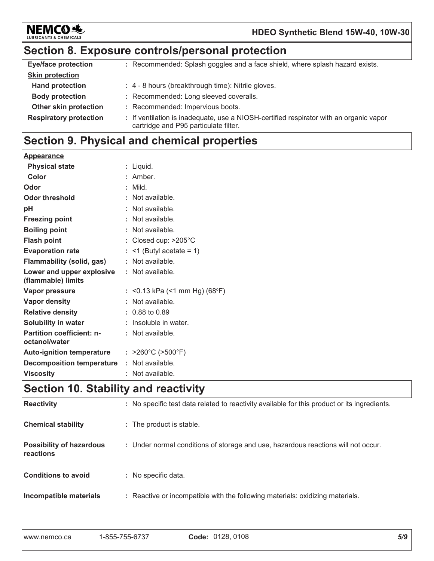

# Section 8. Exposure controls/personal protection

| <b>Eye/face protection</b>    | : Recommended: Splash goggles and a face shield, where splash hazard exists.                                                    |
|-------------------------------|---------------------------------------------------------------------------------------------------------------------------------|
| <b>Skin protection</b>        |                                                                                                                                 |
| <b>Hand protection</b>        | : 4 - 8 hours (breakthrough time): Nitrile gloves.                                                                              |
| <b>Body protection</b>        | : Recommended: Long sleeved coveralls.                                                                                          |
| Other skin protection         | : Recommended: Impervious boots.                                                                                                |
| <b>Respiratory protection</b> | : If ventilation is inadequate, use a NIOSH-certified respirator with an organic vapor<br>cartridge and P95 particulate filter. |

# Section 9. Physical and chemical properties

| Appearance                                                                                                                             |                                        |
|----------------------------------------------------------------------------------------------------------------------------------------|----------------------------------------|
| <b>Physical state</b>                                                                                                                  | : Liguid.                              |
| Color                                                                                                                                  | : Amber.                               |
| Odor                                                                                                                                   | $:$ Mild.                              |
| Odor threshold                                                                                                                         | : Not available.                       |
| pH                                                                                                                                     | : Not available.                       |
| <b>Freezing point</b>                                                                                                                  | : Not available.                       |
| <b>Boiling point</b>                                                                                                                   | : Not available.                       |
| <b>Flash point</b>                                                                                                                     | : Closed cup: $>205^{\circ}$ C         |
| <b>Evaporation rate</b>                                                                                                                | $:$ <1 (Butyl acetate = 1)             |
| <b>Flammability (solid, gas)</b>                                                                                                       | : Not available.                       |
| Lower and upper explosive<br>(flammable) limits                                                                                        | : Not available.                       |
| Vapor pressure                                                                                                                         | : < 0.13 kPa (< 1 mm Hg) (68°F)        |
| Vapor density                                                                                                                          | : Not available.                       |
| <b>Relative density</b>                                                                                                                | $: 0.88$ to 0.89                       |
| <b>Solubility in water</b>                                                                                                             | : Insoluble in water.                  |
| <b>Partition coefficient: n-</b><br>octanol/water                                                                                      | : Not available.                       |
| <b>Auto-ignition temperature</b>                                                                                                       | : $>260^{\circ}$ C ( $>500^{\circ}$ F) |
| <b>Decomposition temperature</b>                                                                                                       | : Not available.                       |
| <b>Viscosity</b>                                                                                                                       | : Not available.                       |
| $0 \rightarrow 1 \rightarrow 40$ $0 \rightarrow 1 \rightarrow 1 \rightarrow 2 \rightarrow 4 \rightarrow 1 \rightarrow 1 \rightarrow 1$ |                                        |

### |Section 10. Stability and reactivity

| <b>Reactivity</b>                            | : No specific test data related to reactivity available for this product or its ingredients. |
|----------------------------------------------|----------------------------------------------------------------------------------------------|
| <b>Chemical stability</b>                    | : The product is stable.                                                                     |
| <b>Possibility of hazardous</b><br>reactions | : Under normal conditions of storage and use, hazardous reactions will not occur.            |
| <b>Conditions to avoid</b>                   | : No specific data.                                                                          |
| Incompatible materials                       | : Reactive or incompatible with the following materials: oxidizing materials.                |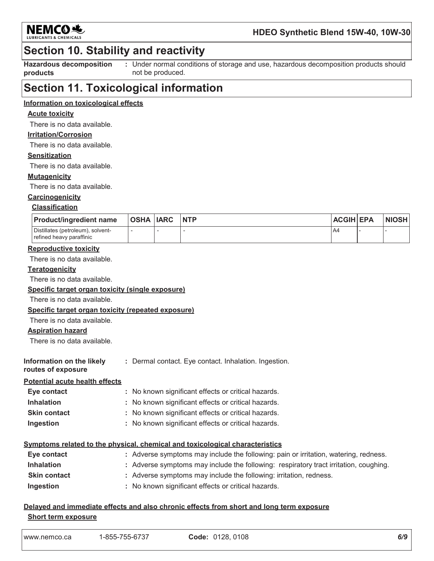

### HDEO Synthetic Blend 15W-40, 10W-30

### **Section 10. Stability and reactivity**

**Hazardous decomposition** : Under normal conditions of storage and use, hazardous decomposition products should products not be produced.

### **Section 11. Toxicological information**

### Information on toxicological effects

### **Acute toxicity**

There is no data available.

### **Irritation/Corrosion**

There is no data available.

#### **Sensitization**

There is no data available.

#### **Mutagenicity**

There is no data available.

### Carcinogenicity

#### **Classification**

| <b>Product/ingredient name</b>                                | OSHA  IARC | <b>NTP</b> | <b>ACGIH EPA</b> | <b>NIOSH</b> |
|---------------------------------------------------------------|------------|------------|------------------|--------------|
| Distillates (petroleum), solvent-<br>refined heavy paraffinic |            |            | <b>A4</b>        |              |

#### **Reproductive toxicity**

There is no data available.

#### **Teratogenicity**

There is no data available.

#### Specific target organ toxicity (single exposure)

There is no data available.

#### Specific target organ toxicity (repeated exposure)

There is no data available.

#### **Aspiration hazard**

There is no data available

| Information on the likely | : Dermal contact. Eye contact. Inhalation. Ingestion. |
|---------------------------|-------------------------------------------------------|
| routes of exposure        |                                                       |

#### **Potential acute health effects**

| Eye contact         | : No known significant effects or critical hazards. |
|---------------------|-----------------------------------------------------|
| <b>Inhalation</b>   | : No known significant effects or critical hazards. |
| <b>Skin contact</b> | : No known significant effects or critical hazards. |
| Ingestion           | : No known significant effects or critical hazards. |

#### Symptoms related to the physical, chemical and toxicological characteristics

| Eye contact         | : Adverse symptoms may include the following: pain or irritation, watering, redness.  |
|---------------------|---------------------------------------------------------------------------------------|
| <b>Inhalation</b>   | : Adverse symptoms may include the following: respiratory tract irritation, coughing. |
| <b>Skin contact</b> | : Adverse symptoms may include the following: irritation, redness.                    |
| Ingestion           | : No known significant effects or critical hazards.                                   |

### Delayed and immediate effects and also chronic effects from short and long term exposure **Short term exposure**

|--|--|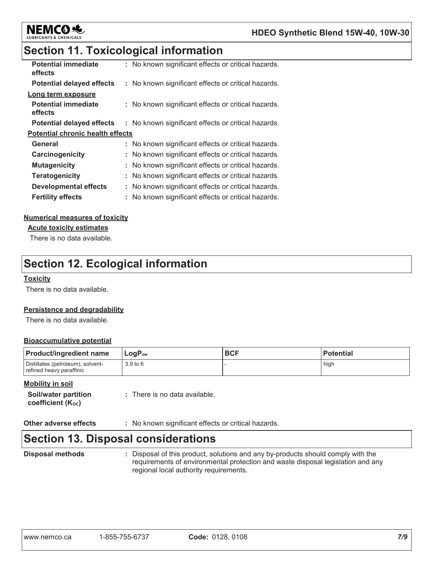

# **Section 11. Toxicological information**

| <b>Potential immediate</b><br>effects   | : No known significant effects or critical hazards. |
|-----------------------------------------|-----------------------------------------------------|
| <b>Potential delayed effects</b>        | : No known significant effects or critical hazards. |
| Long term exposure                      |                                                     |
| <b>Potential immediate</b><br>effects   | : No known significant effects or critical hazards. |
| <b>Potential delayed effects</b>        | : No known significant effects or critical hazards. |
| <b>Potential chronic health effects</b> |                                                     |
| General                                 | : No known significant effects or critical hazards. |
| Carcinogenicity                         | : No known significant effects or critical hazards. |
| <b>Mutagenicity</b>                     | No known significant effects or critical hazards.   |
| <b>Teratogenicity</b>                   | : No known significant effects or critical hazards. |
| <b>Developmental effects</b>            | No known significant effects or critical hazards.   |
| <b>Fertility effects</b>                | : No known significant effects or critical hazards. |

### **Numerical measures of toxicity**

**Acute toxicity estimates** 

There is no data available.

# **Section 12. Ecological information**

#### **Toxicity**

There is no data available.

### Persistence and degradability

There is no data available.

### **Bioaccumulative potential**

| <b>Product/ingredient name</b>                                | $LogP_{ow}$ | <b>BCF</b> | <b>Potential</b> |
|---------------------------------------------------------------|-------------|------------|------------------|
| Distillates (petroleum), solvent-<br>refined heavy paraffinic | 3.9 to 6    |            | high             |

#### **Mobility in soil**

**Other adverse effects** : No known significant effects or critical hazards.

# **Section 13. Disposal considerations**

**Disposal methods** 

: Disposal of this product, solutions and any by-products should comply with the requirements of environmental protection and waste disposal legislation and any regional local authority requirements.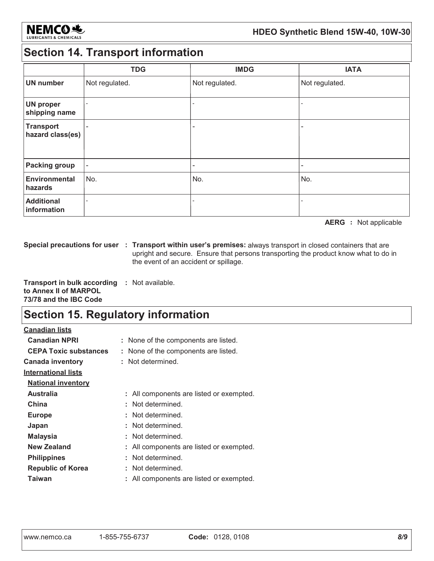

# **Section 14. Transport information**

|                                      | <b>TDG</b>               | <b>IMDG</b>    | <b>IATA</b>    |
|--------------------------------------|--------------------------|----------------|----------------|
| <b>UN number</b>                     | Not regulated.           | Not regulated. | Not regulated. |
| <b>UN proper</b><br>shipping name    | $\overline{\phantom{0}}$ |                |                |
| <b>Transport</b><br>hazard class(es) | $\overline{\phantom{0}}$ |                | ۰              |
| <b>Packing group</b>                 | $\overline{\phantom{a}}$ |                | ۰              |
| <b>Environmental</b><br>hazards      | No.                      | No.            | No.            |
| <b>Additional</b><br>information     |                          |                |                |

**AERG** : Not applicable

Special precautions for user : Transport within user's premises: always transport in closed containers that are upright and secure. Ensure that persons transporting the product know what to do in the event of an accident or spillage.

Transport in bulk according : Not available. to Annex II of MARPOL 73/78 and the IBC Code

# **Section 15. Regulatory information**

| <u>Canadian lists</u>        |                                          |
|------------------------------|------------------------------------------|
| <b>Canadian NPRI</b>         | : None of the components are listed.     |
| <b>CEPA Toxic substances</b> | : None of the components are listed.     |
| <b>Canada inventory</b>      | : Not determined.                        |
| <b>International lists</b>   |                                          |
| <b>National inventory</b>    |                                          |
| <b>Australia</b>             | : All components are listed or exempted. |
| China                        | : Not determined.                        |
| <b>Europe</b>                | : Not determined.                        |
| Japan                        | : Not determined.                        |
| <b>Malaysia</b>              | : Not determined.                        |
| New Zealand                  | : All components are listed or exempted. |
| <b>Philippines</b>           | : Not determined.                        |
| <b>Republic of Korea</b>     | : Not determined.                        |
| Taiwan                       | All components are listed or exempted.   |
|                              |                                          |